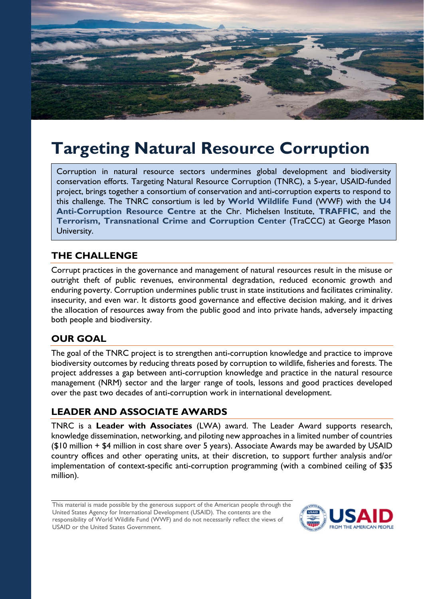

# **Targeting Natural Resource Corruption**

Corruption in natural resource sectors undermines global development and biodiversity conservation efforts. Targeting Natural Resource Corruption (TNRC), a 5-year, USAID-funded project, brings together a consortium of conservation and anti-corruption experts to respond to this challenge. The TNRC consortium is led by **[World Wildlife Fund](https://www.worldwildlife.org/)** (WWF) with the **[U4](https://www.u4.no/)  [Anti-Corruption Resource Centre](https://www.u4.no/)** at the Chr. Michelsen Institute, **[TRAFFIC](https://www.traffic.org/)**, and the **[Terrorism, Transnational Crime and Corruption Center](http://traccc.gmu.edu/)** (TraCCC) at George Mason University.

## **THE CHALLENGE**

Corrupt practices in the governance and management of natural resources result in the misuse or outright theft of public revenues, environmental degradation, reduced economic growth and enduring poverty. Corruption undermines public trust in state institutions and facilitates criminality. insecurity, and even war. It distorts good governance and effective decision making, and it drives the allocation of resources away from the public good and into private hands, adversely impacting both people and biodiversity.

## **OUR GOAL**

The goal of the TNRC project is to strengthen anti-corruption knowledge and practice to improve biodiversity outcomes by reducing threats posed by corruption to wildlife, fisheries and forests. The project addresses a gap between anti-corruption knowledge and practice in the natural resource management (NRM) sector and the larger range of tools, lessons and good practices developed over the past two decades of anti-corruption work in international development.

## **LEADER AND ASSOCIATE AWARDS**

TNRC is a **Leader with Associates** (LWA) award. The Leader Award supports research, knowledge dissemination, networking, and piloting new approaches in a limited number of countries (\$10 million + \$4 million in cost share over 5 years). Associate Awards may be awarded by USAID country offices and other operating units, at their discretion, to support further analysis and/or implementation of context-specific anti-corruption programming (with a combined ceiling of \$35 million).

This material is made possible by the generous support of the American people through the United States Agency for International Development (USAID). The contents are the responsibility of World Wildlife Fund (WWF) and do not necessarily reflect the views of USAID or the United States Government.